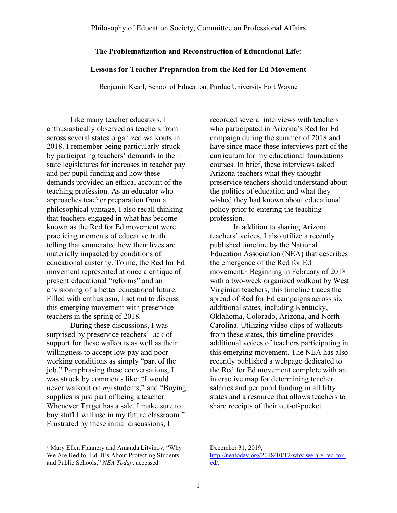# **The Problematization and Reconstruction of Educational Life:**

# **Lessons for Teacher Preparation from the Red for Ed Movement**

Benjamin Kearl, School of Education, Purdue University Fort Wayne

Like many teacher educators, I enthusiastically observed as teachers from across several states organized walkouts in 2018. I remember being particularly struck by participating teachers' demands to their state legislatures for increases in teacher pay and per pupil funding and how these demands provided an ethical account of the teaching profession. As an educator who approaches teacher preparation from a philosophical vantage, I also recall thinking that teachers engaged in what has become known as the Red for Ed movement were practicing moments of educative truth telling that enunciated how their lives are materially impacted by conditions of educational austerity. To me, the Red for Ed movement represented at once a critique of present educational "reforms" and an envisioning of a better educational future. Filled with enthusiasm, I set out to discuss this emerging movement with preservice teachers in the spring of 2018.

During these discussions, I was surprised by preservice teachers' lack of support for these walkouts as well as their willingness to accept low pay and poor working conditions as simply "part of the job." Paraphrasing these conversations, I was struck by comments like: "I would never walkout on *my* students;" and "Buying supplies is just part of being a teacher. Whenever Target has a sale, I make sure to buy stuff I will use in my future classroom." Frustrated by these initial discussions, I

recorded several interviews with teachers who participated in Arizona's Red for Ed campaign during the summer of 2018 and have since made these interviews part of the curriculum for my educational foundations courses. In brief, these interviews asked Arizona teachers what they thought preservice teachers should understand about the politics of education and what they wished they had known about educational policy prior to entering the teaching profession.

In addition to sharing Arizona teachers' voices, I also utilize a recently published timeline by the National Education Association (NEA) that describes the emergence of the Red for Ed movement.<sup>1</sup> Beginning in February of 2018 with a two-week organized walkout by West Virginian teachers, this timeline traces the spread of Red for Ed campaigns across six additional states, including Kentucky, Oklahoma, Colorado, Arizona, and North Carolina. Utilizing video clips of walkouts from these states, this timeline provides additional voices of teachers participating in this emerging movement. The NEA has also recently published a webpage dedicated to the Red for Ed movement complete with an interactive map for determining teacher salaries and per pupil funding in all fifty states and a resource that allows teachers to share receipts of their out-of-pocket

<sup>&</sup>lt;sup>1</sup> Mary Ellen Flannery and Amanda Litvinov, "Why We Are Red for Ed: It's About Protecting Students and Public Schools," *NEA Today*, accessed

December 31, 2019, http://neatoday.org/2018/10/12/why-we-are-red-fored/.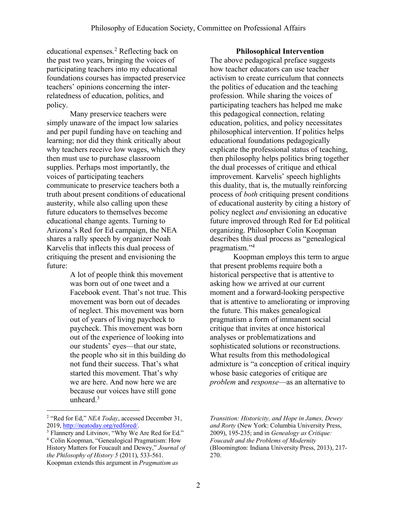educational expenses.2 Reflecting back on the past two years, bringing the voices of participating teachers into my educational foundations courses has impacted preservice teachers' opinions concerning the interrelatedness of education, politics, and policy.

Many preservice teachers were simply unaware of the impact low salaries and per pupil funding have on teaching and learning; nor did they think critically about why teachers receive low wages, which they then must use to purchase classroom supplies. Perhaps most importantly, the voices of participating teachers communicate to preservice teachers both a truth about present conditions of educational austerity, while also calling upon these future educators to themselves become educational change agents. Turning to Arizona's Red for Ed campaign, the NEA shares a rally speech by organizer Noah Karvelis that inflects this dual process of critiquing the present and envisioning the future:

> A lot of people think this movement was born out of one tweet and a Facebook event. That's not true. This movement was born out of decades of neglect. This movement was born out of years of living paycheck to paycheck. This movement was born out of the experience of looking into our students' eyes—that our state, the people who sit in this building do not fund their success. That's what started this movement. That's why we are here. And now here we are because our voices have still gone unheard. $3$

#### **Philosophical Intervention**

The above pedagogical preface suggests how teacher educators can use teacher activism to create curriculum that connects the politics of education and the teaching profession. While sharing the voices of participating teachers has helped me make this pedagogical connection, relating education, politics, and policy necessitates philosophical intervention. If politics helps educational foundations pedagogically explicate the professional status of teaching, then philosophy helps politics bring together the dual processes of critique and ethical improvement. Karvelis' speech highlights this duality, that is, the mutually reinforcing process of *both* critiquing present conditions of educational austerity by citing a history of policy neglect *and* envisioning an educative future improved through Red for Ed political organizing. Philosopher Colin Koopman describes this dual process as "genealogical pragmatism."4

Koopman employs this term to argue that present problems require both a historical perspective that is attentive to asking how we arrived at our current moment and a forward-looking perspective that is attentive to ameliorating or improving the future. This makes genealogical pragmatism a form of immanent social critique that invites at once historical analyses or problematizations and sophisticated solutions or reconstructions. What results from this methodological admixture is "a conception of critical inquiry whose basic categories of critique are *problem* and *response*—as an alternative to

 <sup>2</sup> "Red for Ed," *NEA Today*, accessed December 31, 2019, http://neatoday.org/redfored/.

<sup>&</sup>lt;sup>3</sup> Flannery and Litvinov, "Why We Are Red for Ed." <sup>4</sup> Colin Koopman, "Genealogical Pragmatism: How History Matters for Foucault and Dewey," *Journal of the Philosophy of History 5* (2011), 533-561. Koopman extends this argument in *Pragmatism as* 

*Transition: Historicity, and Hope in James, Dewey and Rorty* (New York: Columbia University Press, 2009), 195-235; and in *Genealogy as Critique: Foucault and the Problems of Modernity* (Bloomington: Indiana University Press, 2013), 217- 270.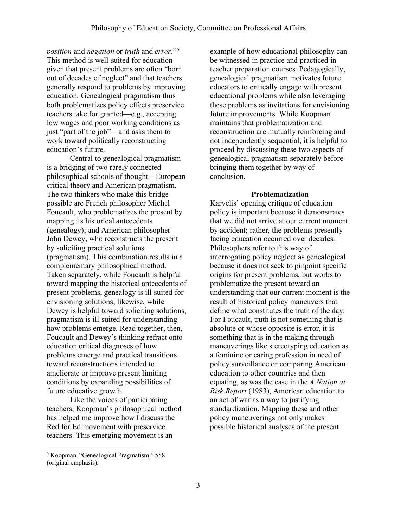*position* and *negation* or *truth* and *error*."5 This method is well-suited for education given that present problems are often "born out of decades of neglect" and that teachers generally respond to problems by improving education. Genealogical pragmatism thus both problematizes policy effects preservice teachers take for granted—e.g., accepting low wages and poor working conditions as just "part of the job"—and asks them to work toward politically reconstructing education's future.

Central to genealogical pragmatism is a bridging of two rarely connected philosophical schools of thought—European critical theory and American pragmatism. The two thinkers who make this bridge possible are French philosopher Michel Foucault, who problematizes the present by mapping its historical antecedents (genealogy); and American philosopher John Dewey, who reconstructs the present by soliciting practical solutions (pragmatism). This combination results in a complementary philosophical method. Taken separately, while Foucault is helpful toward mapping the historical antecedents of present problems, genealogy is ill-suited for envisioning solutions; likewise, while Dewey is helpful toward soliciting solutions, pragmatism is ill-suited for understanding how problems emerge. Read together, then, Foucault and Dewey's thinking refract onto education critical diagnoses of how problems emerge and practical transitions toward reconstructions intended to ameliorate or improve present limiting conditions by expanding possibilities of future educative growth.

Like the voices of participating teachers, Koopman's philosophical method has helped me improve how I discuss the Red for Ed movement with preservice teachers. This emerging movement is an

example of how educational philosophy can be witnessed in practice and practiced in teacher preparation courses. Pedagogically, genealogical pragmatism motivates future educators to critically engage with present educational problems while also leveraging these problems as invitations for envisioning future improvements. While Koopman maintains that problematization and reconstruction are mutually reinforcing and not independently sequential, it is helpful to proceed by discussing these two aspects of genealogical pragmatism separately before bringing them together by way of conclusion.

### **Problematization**

Karvelis' opening critique of education policy is important because it demonstrates that we did not arrive at our current moment by accident; rather, the problems presently facing education occurred over decades. Philosophers refer to this way of interrogating policy neglect as genealogical because it does not seek to pinpoint specific origins for present problems, but works to problematize the present toward an understanding that our current moment is the result of historical policy maneuvers that define what constitutes the truth of the day. For Foucault, truth is not something that is absolute or whose opposite is error, it is something that is in the making through maneuverings like stereotyping education as a feminine or caring profession in need of policy surveillance or comparing American education to other countries and then equating, as was the case in the *A Nation at Risk Report* (1983), American education to an act of war as a way to justifying standardization. Mapping these and other policy maneuverings not only makes possible historical analyses of the present

 <sup>5</sup> Koopman, "Genealogical Pragmatism," 558 (original emphasis).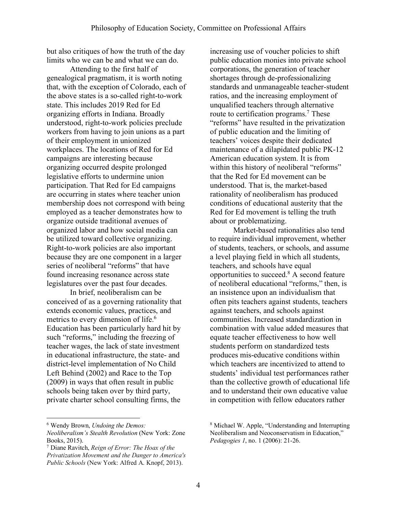but also critiques of how the truth of the day limits who we can be and what we can do.

Attending to the first half of genealogical pragmatism, it is worth noting that, with the exception of Colorado, each of the above states is a so-called right-to-work state. This includes 2019 Red for Ed organizing efforts in Indiana. Broadly understood, right-to-work policies preclude workers from having to join unions as a part of their employment in unionized workplaces. The locations of Red for Ed campaigns are interesting because organizing occurred despite prolonged legislative efforts to undermine union participation. That Red for Ed campaigns are occurring in states where teacher union membership does not correspond with being employed as a teacher demonstrates how to organize outside traditional avenues of organized labor and how social media can be utilized toward collective organizing. Right-to-work policies are also important because they are one component in a larger series of neoliberal "reforms" that have found increasing resonance across state legislatures over the past four decades.

In brief, neoliberalism can be conceived of as a governing rationality that extends economic values, practices, and metrics to every dimension of life.<sup>6</sup> Education has been particularly hard hit by such "reforms," including the freezing of teacher wages, the lack of state investment in educational infrastructure, the state- and district-level implementation of No Child Left Behind (2002) and Race to the Top (2009) in ways that often result in public schools being taken over by third party, private charter school consulting firms, the

increasing use of voucher policies to shift public education monies into private school corporations, the generation of teacher shortages through de-professionalizing standards and unmanageable teacher-student ratios, and the increasing employment of unqualified teachers through alternative route to certification programs.<sup>7</sup> These "reforms" have resulted in the privatization of public education and the limiting of teachers' voices despite their dedicated maintenance of a dilapidated public PK-12 American education system. It is from within this history of neoliberal "reforms" that the Red for Ed movement can be understood. That is, the market-based rationality of neoliberalism has produced conditions of educational austerity that the Red for Ed movement is telling the truth about or problematizing.

Market-based rationalities also tend to require individual improvement, whether of students, teachers, or schools, and assume a level playing field in which all students, teachers, and schools have equal opportunities to succeed.8 A second feature of neoliberal educational "reforms," then, is an insistence upon an individualism that often pits teachers against students, teachers against teachers, and schools against communities. Increased standardization in combination with value added measures that equate teacher effectiveness to how well students perform on standardized tests produces mis-educative conditions within which teachers are incentivized to attend to students' individual test performances rather than the collective growth of educational life and to understand their own educative value in competition with fellow educators rather

 <sup>6</sup> Wendy Brown, *Undoing the Demos:* 

*Neoliberalism's Stealth Revolution* (New York: Zone Books, 2015).

<sup>7</sup> Diane Ravitch, *Reign of Error: The Hoax of the Privatization Movement and the Danger to America's Public Schools* (New York: Alfred A. Knopf, 2013).

<sup>8</sup> Michael W. Apple, "Understanding and Interrupting Neoliberalism and Neoconservatism in Education," *Pedagogies 1*, no. 1 (2006): 21-26.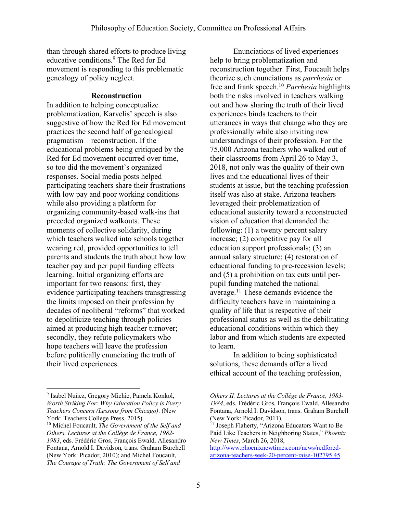than through shared efforts to produce living educative conditions.9 The Red for Ed movement is responding to this problematic genealogy of policy neglect.

# **Reconstruction**

In addition to helping conceptualize problematization, Karvelis' speech is also suggestive of how the Red for Ed movement practices the second half of genealogical pragmatism—reconstruction. If the educational problems being critiqued by the Red for Ed movement occurred over time, so too did the movement's organized responses. Social media posts helped participating teachers share their frustrations with low pay and poor working conditions while also providing a platform for organizing community-based walk-ins that preceded organized walkouts. These moments of collective solidarity, during which teachers walked into schools together wearing red, provided opportunities to tell parents and students the truth about how low teacher pay and per pupil funding effects learning. Initial organizing efforts are important for two reasons: first, they evidence participating teachers transgressing the limits imposed on their profession by decades of neoliberal "reforms" that worked to depoliticize teaching through policies aimed at producing high teacher turnover; secondly, they refute policymakers who hope teachers will leave the profession before politically enunciating the truth of their lived experiences.

Enunciations of lived experiences help to bring problematization and reconstruction together. First, Foucault helps theorize such enunciations as *parrhesia* or free and frank speech.10 *Parrhesia* highlights both the risks involved in teachers walking out and how sharing the truth of their lived experiences binds teachers to their utterances in ways that change who they are professionally while also inviting new understandings of their profession. For the 75,000 Arizona teachers who walked out of their classrooms from April 26 to May 3, 2018, not only was the quality of their own lives and the educational lives of their students at issue, but the teaching profession itself was also at stake. Arizona teachers leveraged their problematization of educational austerity toward a reconstructed vision of education that demanded the following: (1) a twenty percent salary increase; (2) competitive pay for all education support professionals; (3) an annual salary structure; (4) restoration of educational funding to pre-recession levels; and (5) a prohibition on tax cuts until perpupil funding matched the national average.11 These demands evidence the difficulty teachers have in maintaining a quality of life that is respective of their professional status as well as the debilitating educational conditions within which they labor and from which students are expected to learn.

In addition to being sophisticated solutions, these demands offer a lived ethical account of the teaching profession,

 <sup>9</sup> Isabel Nuñez, Gregory Michie, Pamela Konkol, *Worth Striking For: Why Education Policy is Every Teachers Concern (Lessons from Chicago)*. (New York: Teachers College Press, 2015).

<sup>10</sup> Michel Foucault, *The Government of the Self and Others. Lectures at the Collège de France, 1982- 1983*, eds. Frédéric Gros, François Ewald, Allesandro Fontana, Arnold I. Davidson, trans. Graham Burchell (New York: Picador, 2010); and Michel Foucault, *The Courage of Truth: The Government of Self and* 

*Others II. Lectures at the Collège de France, 1983- 1984*, eds. Frédéric Gros, François Ewald, Allesandro Fontana, Arnold I. Davidson, trans. Graham Burchell (New York: Picador, 2011).

<sup>&</sup>lt;sup>11</sup> Joseph Flaherty, "Arizona Educators Want to Be Paid Like Teachers in Neighboring States," *Phoenix New Times*, March 26, 2018,

http://www.phoenixnewtimes.com/news/redforedarizona-teachers-seek-20-percent-raise-102795 45.